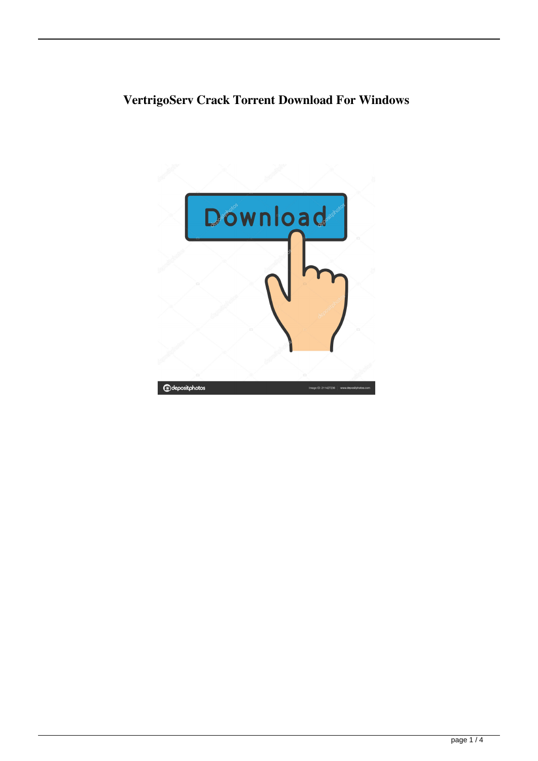# **VertrigoServ Crack Torrent Download For Windows**

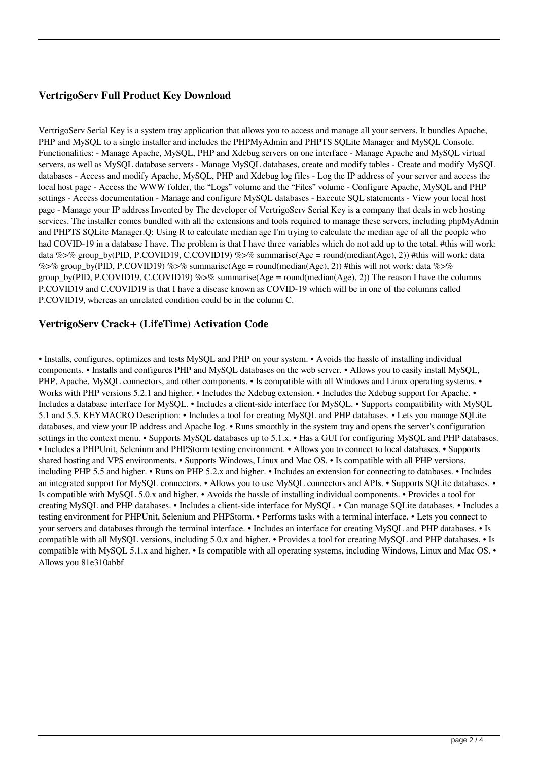## **VertrigoServ Full Product Key Download**

VertrigoServ Serial Key is a system tray application that allows you to access and manage all your servers. It bundles Apache, PHP and MySQL to a single installer and includes the PHPMyAdmin and PHPTS SQLite Manager and MySQL Console. Functionalities: - Manage Apache, MySQL, PHP and Xdebug servers on one interface - Manage Apache and MySQL virtual servers, as well as MySQL database servers - Manage MySQL databases, create and modify tables - Create and modify MySQL databases - Access and modify Apache, MySQL, PHP and Xdebug log files - Log the IP address of your server and access the local host page - Access the WWW folder, the "Logs" volume and the "Files" volume - Configure Apache, MySQL and PHP settings - Access documentation - Manage and configure MySQL databases - Execute SQL statements - View your local host page - Manage your IP address Invented by The developer of VertrigoServ Serial Key is a company that deals in web hosting services. The installer comes bundled with all the extensions and tools required to manage these servers, including phpMyAdmin and PHPTS SQLite Manager.Q: Using R to calculate median age I'm trying to calculate the median age of all the people who had COVID-19 in a database I have. The problem is that I have three variables which do not add up to the total. #this will work: data %>% group\_by(PID, P.COVID19, C.COVID19) %>% summarise(Age = round(median(Age), 2)) #this will work: data %>% group\_by(PID, P.COVID19) %>% summarise(Age = round(median(Age), 2)) #this will not work: data %>% group\_by(PID, P.COVID19, C.COVID19) %>% summarise(Age = round(median(Age), 2)) The reason I have the columns P.COVID19 and C.COVID19 is that I have a disease known as COVID-19 which will be in one of the columns called P.COVID19, whereas an unrelated condition could be in the column C.

#### **VertrigoServ Crack+ (LifeTime) Activation Code**

• Installs, configures, optimizes and tests MySQL and PHP on your system. • Avoids the hassle of installing individual components. • Installs and configures PHP and MySQL databases on the web server. • Allows you to easily install MySQL, PHP, Apache, MySQL connectors, and other components. • Is compatible with all Windows and Linux operating systems. • Works with PHP versions 5.2.1 and higher. • Includes the Xdebug extension. • Includes the Xdebug support for Apache. • Includes a database interface for MySQL. • Includes a client-side interface for MySQL. • Supports compatibility with MySQL 5.1 and 5.5. KEYMACRO Description: • Includes a tool for creating MySQL and PHP databases. • Lets you manage SQLite databases, and view your IP address and Apache log. • Runs smoothly in the system tray and opens the server's configuration settings in the context menu. • Supports MySQL databases up to 5.1.x. • Has a GUI for configuring MySQL and PHP databases. • Includes a PHPUnit, Selenium and PHPStorm testing environment. • Allows you to connect to local databases. • Supports shared hosting and VPS environments. • Supports Windows, Linux and Mac OS. • Is compatible with all PHP versions, including PHP 5.5 and higher. • Runs on PHP 5.2.x and higher. • Includes an extension for connecting to databases. • Includes an integrated support for MySQL connectors. • Allows you to use MySQL connectors and APIs. • Supports SQLite databases. • Is compatible with MySQL 5.0.x and higher. • Avoids the hassle of installing individual components. • Provides a tool for creating MySQL and PHP databases. • Includes a client-side interface for MySQL. • Can manage SQLite databases. • Includes a testing environment for PHPUnit, Selenium and PHPStorm. • Performs tasks with a terminal interface. • Lets you connect to your servers and databases through the terminal interface. • Includes an interface for creating MySQL and PHP databases. • Is compatible with all MySQL versions, including 5.0.x and higher. • Provides a tool for creating MySQL and PHP databases. • Is compatible with MySQL 5.1.x and higher. • Is compatible with all operating systems, including Windows, Linux and Mac OS. • Allows you 81e310abbf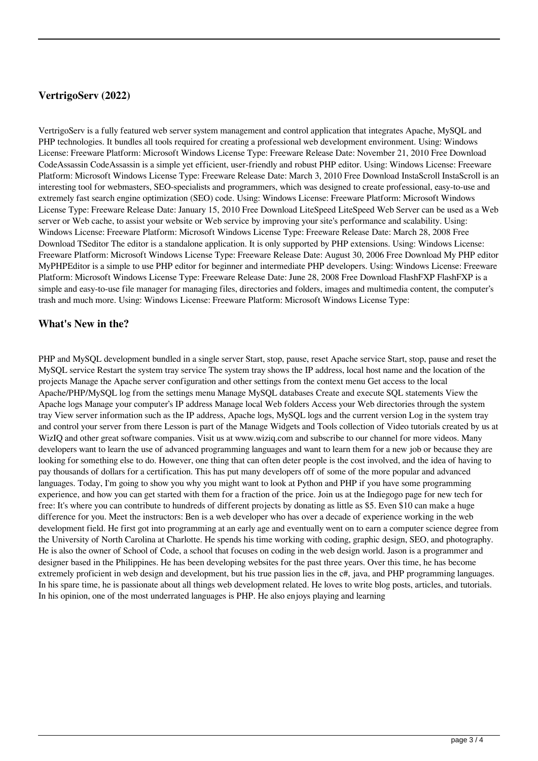### **VertrigoServ (2022)**

VertrigoServ is a fully featured web server system management and control application that integrates Apache, MySQL and PHP technologies. It bundles all tools required for creating a professional web development environment. Using: Windows License: Freeware Platform: Microsoft Windows License Type: Freeware Release Date: November 21, 2010 Free Download CodeAssassin CodeAssassin is a simple yet efficient, user-friendly and robust PHP editor. Using: Windows License: Freeware Platform: Microsoft Windows License Type: Freeware Release Date: March 3, 2010 Free Download InstaScroll InstaScroll is an interesting tool for webmasters, SEO-specialists and programmers, which was designed to create professional, easy-to-use and extremely fast search engine optimization (SEO) code. Using: Windows License: Freeware Platform: Microsoft Windows License Type: Freeware Release Date: January 15, 2010 Free Download LiteSpeed LiteSpeed Web Server can be used as a Web server or Web cache, to assist your website or Web service by improving your site's performance and scalability. Using: Windows License: Freeware Platform: Microsoft Windows License Type: Freeware Release Date: March 28, 2008 Free Download TSeditor The editor is a standalone application. It is only supported by PHP extensions. Using: Windows License: Freeware Platform: Microsoft Windows License Type: Freeware Release Date: August 30, 2006 Free Download My PHP editor MyPHPEditor is a simple to use PHP editor for beginner and intermediate PHP developers. Using: Windows License: Freeware Platform: Microsoft Windows License Type: Freeware Release Date: June 28, 2008 Free Download FlashFXP FlashFXP is a simple and easy-to-use file manager for managing files, directories and folders, images and multimedia content, the computer's trash and much more. Using: Windows License: Freeware Platform: Microsoft Windows License Type:

#### **What's New in the?**

PHP and MySQL development bundled in a single server Start, stop, pause, reset Apache service Start, stop, pause and reset the MySQL service Restart the system tray service The system tray shows the IP address, local host name and the location of the projects Manage the Apache server configuration and other settings from the context menu Get access to the local Apache/PHP/MySQL log from the settings menu Manage MySQL databases Create and execute SQL statements View the Apache logs Manage your computer's IP address Manage local Web folders Access your Web directories through the system tray View server information such as the IP address, Apache logs, MySQL logs and the current version Log in the system tray and control your server from there Lesson is part of the Manage Widgets and Tools collection of Video tutorials created by us at WizIQ and other great software companies. Visit us at www.wiziq.com and subscribe to our channel for more videos. Many developers want to learn the use of advanced programming languages and want to learn them for a new job or because they are looking for something else to do. However, one thing that can often deter people is the cost involved, and the idea of having to pay thousands of dollars for a certification. This has put many developers off of some of the more popular and advanced languages. Today, I'm going to show you why you might want to look at Python and PHP if you have some programming experience, and how you can get started with them for a fraction of the price. Join us at the Indiegogo page for new tech for free: It's where you can contribute to hundreds of different projects by donating as little as \$5. Even \$10 can make a huge difference for you. Meet the instructors: Ben is a web developer who has over a decade of experience working in the web development field. He first got into programming at an early age and eventually went on to earn a computer science degree from the University of North Carolina at Charlotte. He spends his time working with coding, graphic design, SEO, and photography. He is also the owner of School of Code, a school that focuses on coding in the web design world. Jason is a programmer and designer based in the Philippines. He has been developing websites for the past three years. Over this time, he has become extremely proficient in web design and development, but his true passion lies in the c#, java, and PHP programming languages. In his spare time, he is passionate about all things web development related. He loves to write blog posts, articles, and tutorials. In his opinion, one of the most underrated languages is PHP. He also enjoys playing and learning